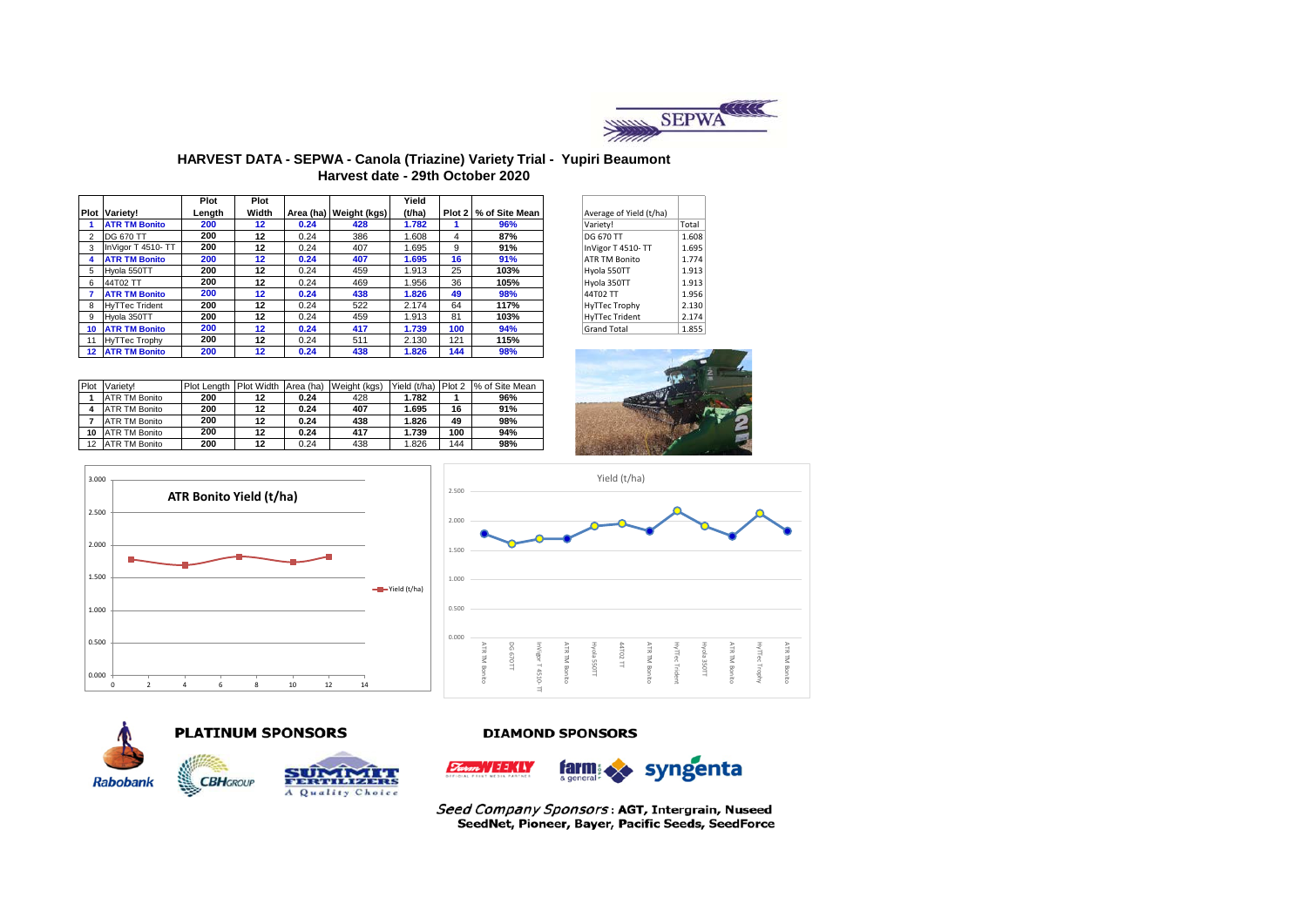

#### **HARVEST DATA - SEPWA - Canola (Triazine) Variety Trial - Yupiri Beaumont Harvest date - 29th October 2020**

|    |                       | Plot   | Plot    |      |                          | Yield  |     |                         |                         |       |
|----|-----------------------|--------|---------|------|--------------------------|--------|-----|-------------------------|-------------------------|-------|
|    | <b>Plot Variety!</b>  | Length | Width   |      | Area (ha)   Weight (kgs) | (t/ha) |     | Plot 2   % of Site Mean | Average of Yield (t/ha) |       |
|    | <b>ATR TM Bonito</b>  | 200    | $12 \,$ | 0.24 | 428                      | 1.782  |     | 96%                     | Variety!                | Total |
|    | <b>DG 670 TT</b>      | 200    | 12      | 0.24 | 386                      | 1.608  | 4   | 87%                     | <b>DG 670 TT</b>        | 1.608 |
| 3  | InVigor T 4510-TT     | 200    | 12      | 0.24 | 407                      | 1.695  | 9   | 91%                     | InVigor T 4510-TT       | 1.695 |
|    | <b>ATR TM Bonito</b>  | 200    | 12      | 0.24 | 407                      | 1.695  | 16  | 91%                     | <b>ATR TM Bonito</b>    | 1.774 |
| 5  | Hvola 550TT           | 200    | 12      | 0.24 | 459                      | 1.913  | 25  | 103%                    | Hyola 550TT             | 1.913 |
| 6  | 44T02 TT              | 200    | 12      | 0.24 | 469                      | 1.956  | 36  | 105%                    | Hyola 350TT             | 1.913 |
|    | <b>ATR TM Bonito</b>  | 200    | 12      | 0.24 | 438                      | 1.826  | 49  | 98%                     | 44T02 TT                | 1.956 |
| 8  | <b>HvTTec Trident</b> | 200    | 12      | 0.24 | 522                      | 2.174  | 64  | 117%                    | <b>HyTTec Trophy</b>    | 2.130 |
| 9  | Hvola 350TT           | 200    | 12      | 0.24 | 459                      | 1.913  | 81  | 103%                    | <b>HyTTec Trident</b>   | 2.174 |
| 10 | <b>ATR TM Bonito</b>  | 200    | 12      | 0.24 | 417                      | 1.739  | 100 | 94%                     | <b>Grand Total</b>      | 1.855 |
|    | 11 HvTTec Trophy      | 200    | 12      | 0.24 | 511                      | 2.130  | 121 | 115%                    |                         |       |
|    | 12 ATR TM Bonito      | 200    | 12      | 0.24 | 438                      | 1.826  | 144 | 98%                     |                         |       |

| Average of Yield (t/ha) |       |
|-------------------------|-------|
| Variety!                | Total |
| DG 670 TT               | 1.608 |
| InVigor T 4510-TT       | 1.695 |
| <b>ATR TM Bonito</b>    | 1.774 |
| Hyola 550TT             | 1.913 |
| Hyola 350TT             | 1.913 |
| 44T02 TT                | 1.956 |
| <b>HyTTec Trophy</b>    | 2.130 |
| <b>HyTTec Trident</b>   | 2.174 |
| <b>Grand Total</b>      | 1.855 |

| Plot | Variety!             | Plot Lenath | Plot Width | Area (ha) | Weight (kgs) | Yield (t/ha) | Plot 2 | % of Site Mean |
|------|----------------------|-------------|------------|-----------|--------------|--------------|--------|----------------|
|      | <b>ATR TM Bonito</b> | 200         | 12         | 0.24      | 428          | 1.782        |        | 96%            |
|      | <b>ATR TM Bonito</b> | 200         | 12         | 0.24      | 407          | 1.695        | 16     | 91%            |
|      | <b>ATR TM Bonito</b> | 200         | 12         | 0.24      | 438          | 1.826        | 49     | 98%            |
| 10   | ATR TM Bonito        | 200         | 12         | 0.24      | 417          | 1.739        | 100    | 94%            |
| 12   | <b>ATR TM Bonito</b> | 200         | 12         | 0.24      | 438          | 1.826        | 144    | 98%            |









# **PLATINUM SPONSORS**



#### **DIAMOND SPONSORS**



Seed Company Sponsors: AGT, Intergrain, Nuseed SeedNet, Pioneer, Bayer, Pacific Seeds, SeedForce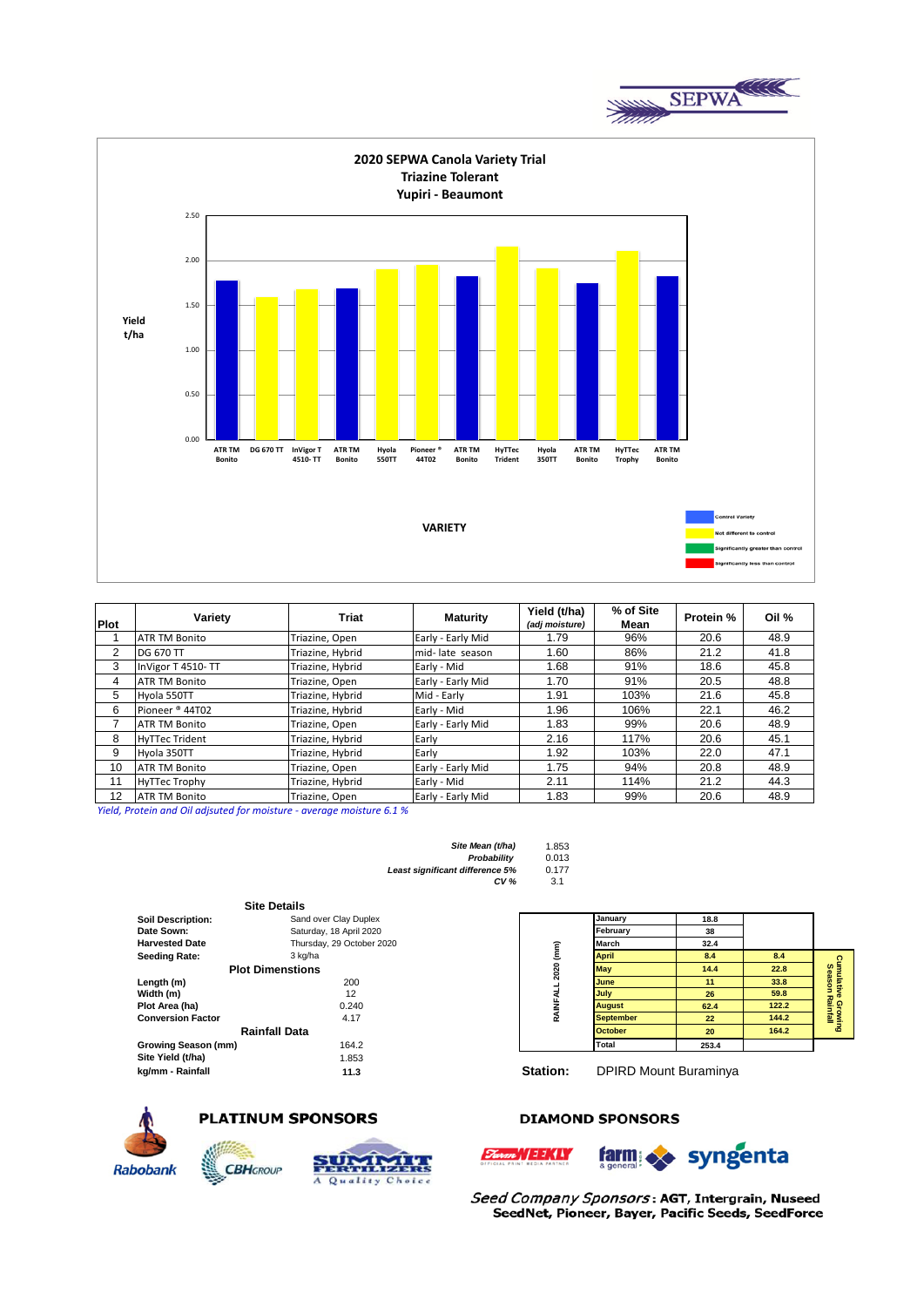



| <b>Plot</b>    | Variety               | <b>Triat</b>     | <b>Maturity</b>   | Yield (t/ha)<br>(adj moisture) | % of Site<br>Mean | <b>Protein %</b> | Oil % |
|----------------|-----------------------|------------------|-------------------|--------------------------------|-------------------|------------------|-------|
|                | <b>ATR TM Bonito</b>  | Triazine, Open   | Early - Early Mid | 1.79                           | 96%               | 20.6             | 48.9  |
| $\overline{2}$ | <b>DG 670 TT</b>      | Triazine, Hybrid | mid-late season   | 1.60                           | 86%               | 21.2             | 41.8  |
| 3              | InVigor T 4510-TT     | Triazine, Hybrid | Early - Mid       | 1.68                           | 91%               | 18.6             | 45.8  |
| 4              | <b>ATR TM Bonito</b>  | Triazine, Open   | Early - Early Mid | 1.70                           | 91%               | 20.5             | 48.8  |
| 5              | Hyola 550TT           | Triazine, Hybrid | Mid - Early       | 1.91                           | 103%              | 21.6             | 45.8  |
| 6              | Pioneer ® 44T02       | Triazine, Hybrid | Early - Mid       | 1.96                           | 106%              | 22.1             | 46.2  |
|                | <b>ATR TM Bonito</b>  | Triazine, Open   | Early - Early Mid | 1.83                           | 99%               | 20.6             | 48.9  |
| 8              | <b>HyTTec Trident</b> | Triazine, Hybrid | Early             | 2.16                           | 117%              | 20.6             | 45.1  |
| 9              | Hyola 350TT           | Triazine, Hybrid | Early             | 1.92                           | 103%              | 22.0             | 47.1  |
| 10             | <b>ATR TM Bonito</b>  | Triazine, Open   | Early - Early Mid | 1.75                           | 94%               | 20.8             | 48.9  |
| 11             | <b>HyTTec Trophy</b>  | Triazine, Hybrid | Early - Mid       | 2.11                           | 114%              | 21.2             | 44.3  |
| 12             | <b>ATR TM Bonito</b>  | Triazine, Open   | Early - Early Mid | 1.83                           | 99%               | 20.6             | 48.9  |

*Yield, Protein and Oil adjsuted for moisture - average moisture 6.1 %*

| Site Mean (t/ha)                | 1.853 |
|---------------------------------|-------|
| Probability                     | 0.013 |
| Least significant difference 5% | 0.177 |
| CV <sub>6</sub>                 | 3.1   |

|                          | <b>Site Details</b>       |           |                  |                              |       |
|--------------------------|---------------------------|-----------|------------------|------------------------------|-------|
| <b>Soil Description:</b> | Sand over Clay Duplex     |           | January          | 18.8                         |       |
| Date Sown:               | Saturday, 18 April 2020   |           | February         | 38                           |       |
| <b>Harvested Date</b>    | Thursday, 29 October 2020 |           | <b>March</b>     | 32.4                         |       |
| <b>Seeding Rate:</b>     | 3 kg/ha                   |           | <b>April</b>     | 8.4                          | 8.4   |
|                          | <b>Plot Dimenstions</b>   | 2020 (mm) | <b>May</b>       | 14.4                         | 22.8  |
| Length (m)               | 200                       |           | <b>June</b>      | 11                           | 33.8  |
| Width (m)                | 12                        | RAINFALL  | July             | 26                           | 59.8  |
| Plot Area (ha)           | 0.240                     |           | <b>August</b>    | 62.4                         | 122.2 |
| <b>Conversion Factor</b> | 4.17                      |           | <b>September</b> | 22                           | 144.2 |
|                          | <b>Rainfall Data</b>      |           | <b>October</b>   | 20                           | 164.2 |
| Growing Season (mm)      | 164.2                     |           | <b>Total</b>     | 253.4                        |       |
| Site Yield (t/ha)        | 1.853                     |           |                  |                              |       |
| kg/mm - Rainfall         | 11.3                      | Station:  |                  | <b>DPIRD Mount Buraminya</b> |       |
|                          |                           |           |                  |                              |       |



# **PLATINUM SPONSORS**

**CBH**GROUP



# **DIAMOND SPONSORS**

» //EEKIY



**Cumulative Growing Season Rainfall**

**Cumulative Growing**<br>Season Rainfall

Seed Company Sponsors: AGT, Intergrain, Nuseed SeedNet, Pioneer, Bayer, Pacific Seeds, SeedForce